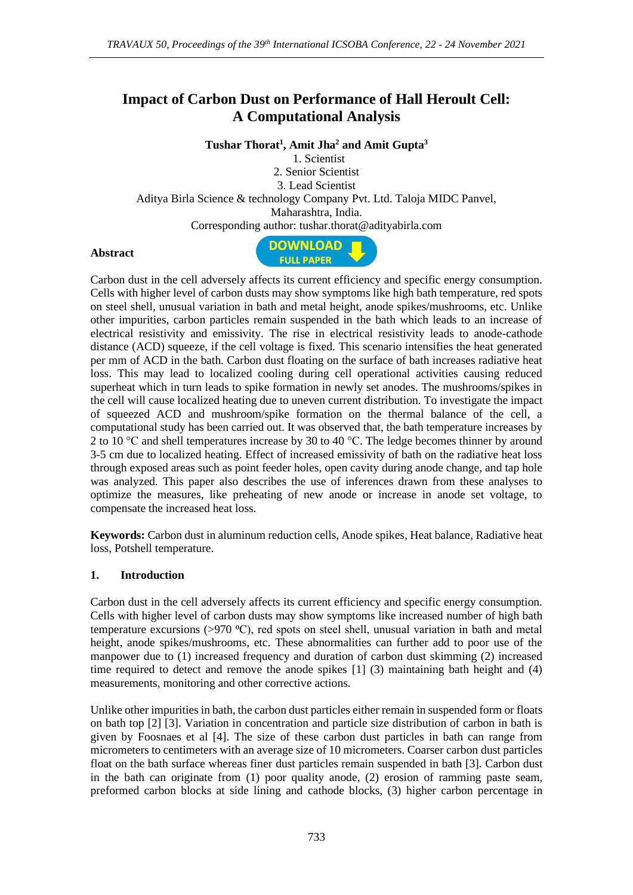# **Impact of Carbon Dust on Performance of Hall Heroult Cell: A Computational Analysis**

**Tushar Thorat<sup>1</sup> , Amit Jha<sup>2</sup> and Amit Gupta<sup>3</sup>**

1. Scientist 2. Senior Scientist 3. Lead Scientist Aditya Birla Science & technology Company Pvt. Ltd. Taloja MIDC Panvel, Maharashtra, India. Corresponding author: tushar.thorat@adityabirla.com

#### **Abstract**



Carbon dust in the cell adversely affects its current efficiency and specific energy consumption. Cells with higher level of carbon dusts may show symptoms like high bath temperature, red spots on steel shell, unusual variation in bath and metal height, anode spikes/mushrooms, etc. Unlike other impurities, carbon particles remain suspended in the bath which leads to an increase of electrical resistivity and emissivity. The rise in electrical resistivity leads to anode-cathode distance (ACD) squeeze, if the cell voltage is fixed. This scenario intensifies the heat generated per mm of ACD in the bath. Carbon dust floating on the surface of bath increases radiative heat loss. This may lead to localized cooling during cell operational activities causing reduced superheat which in turn leads to spike formation in newly set anodes. The mushrooms/spikes in the cell will cause localized heating due to uneven current distribution. To investigate the impact of squeezed ACD and mushroom/spike formation on the thermal balance of the cell, a computational study has been carried out. It was observed that, the bath temperature increases by 2 to 10 °C and shell temperatures increase by 30 to 40 °C. The ledge becomes thinner by around 3-5 cm due to localized heating. Effect of increased emissivity of bath on the radiative heat loss through exposed areas such as point feeder holes, open cavity during anode change, and tap hole was analyzed. This paper also describes the use of inferences drawn from these analyses to optimize the measures, like preheating of new anode or increase in anode set voltage, to compensate the increased heat loss.

**Keywords:** Carbon dust in aluminum reduction cells, Anode spikes, Heat balance, Radiative heat loss, Potshell temperature.

#### **1. Introduction**

Carbon dust in the cell adversely affects its current efficiency and specific energy consumption. Cells with higher level of carbon dusts may show symptoms like increased number of high bath temperature excursions  $(>970 \degree C)$ , red spots on steel shell, unusual variation in bath and metal height, anode spikes/mushrooms, etc. These abnormalities can further add to poor use of the manpower due to (1) increased frequency and duration of carbon dust skimming (2) increased time required to detect and remove the anode spikes [1] (3) maintaining bath height and (4) measurements, monitoring and other corrective actions.

Unlike other impurities in bath, the carbon dust particles either remain in suspended form or floats on bath top [2] [3]. Variation in concentration and particle size distribution of carbon in bath is given by Foosnaes et al [4]. The size of these carbon dust particles in bath can range from micrometers to centimeters with an average size of 10 micrometers. Coarser carbon dust particles float on the bath surface whereas finer dust particles remain suspended in bath [3]. Carbon dust in the bath can originate from (1) poor quality anode, (2) erosion of ramming paste seam, preformed carbon blocks at side lining and cathode blocks, (3) higher carbon percentage in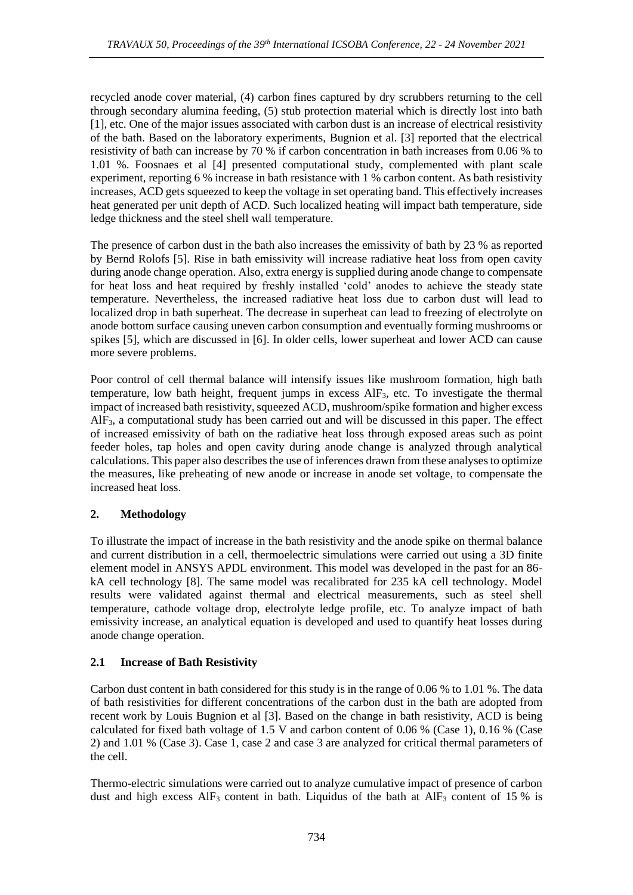recycled anode cover material, (4) carbon fines captured by dry scrubbers returning to the cell through secondary alumina feeding, (5) stub protection material which is directly lost into bath [1], etc. One of the major issues associated with carbon dust is an increase of electrical resistivity of the bath. Based on the laboratory experiments, Bugnion et al. [3] reported that the electrical resistivity of bath can increase by 70 % if carbon concentration in bath increases from 0.06 % to 1.01 %. Foosnaes et al [4] presented computational study, complemented with plant scale experiment, reporting 6 % increase in bath resistance with 1 % carbon content. As bath resistivity increases, ACD gets squeezed to keep the voltage in set operating band. This effectively increases heat generated per unit depth of ACD. Such localized heating will impact bath temperature, side ledge thickness and the steel shell wall temperature.

The presence of carbon dust in the bath also increases the emissivity of bath by 23 % as reported by Bernd Rolofs [5]. Rise in bath emissivity will increase radiative heat loss from open cavity during anode change operation. Also, extra energy is supplied during anode change to compensate for heat loss and heat required by freshly installed 'cold' anodes to achieve the steady state temperature. Nevertheless, the increased radiative heat loss due to carbon dust will lead to localized drop in bath superheat. The decrease in superheat can lead to freezing of electrolyte on anode bottom surface causing uneven carbon consumption and eventually forming mushrooms or spikes [5], which are discussed in [6]. In older cells, lower superheat and lower ACD can cause more severe problems.

Poor control of cell thermal balance will intensify issues like mushroom formation, high bath temperature, low bath height, frequent jumps in excess AlF3, etc. To investigate the thermal impact of increased bath resistivity, squeezed ACD, mushroom/spike formation and higher excess  $AIF_3$ , a computational study has been carried out and will be discussed in this paper. The effect of increased emissivity of bath on the radiative heat loss through exposed areas such as point feeder holes, tap holes and open cavity during anode change is analyzed through analytical calculations. This paper also describes the use of inferences drawn from these analyses to optimize the measures, like preheating of new anode or increase in anode set voltage, to compensate the increased heat loss.

## **2. Methodology**

To illustrate the impact of increase in the bath resistivity and the anode spike on thermal balance and current distribution in a cell, thermoelectric simulations were carried out using a 3D finite element model in ANSYS APDL environment. This model was developed in the past for an 86 kA cell technology [8]. The same model was recalibrated for 235 kA cell technology. Model results were validated against thermal and electrical measurements, such as steel shell temperature, cathode voltage drop, electrolyte ledge profile, etc. To analyze impact of bath emissivity increase, an analytical equation is developed and used to quantify heat losses during anode change operation.

## **2.1 Increase of Bath Resistivity**

Carbon dust content in bath considered for this study is in the range of 0.06 % to 1.01 %. The data of bath resistivities for different concentrations of the carbon dust in the bath are adopted from recent work by Louis Bugnion et al [3]. Based on the change in bath resistivity, ACD is being calculated for fixed bath voltage of 1.5 V and carbon content of 0.06 % (Case 1), 0.16 % (Case 2) and 1.01 % (Case 3). Case 1, case 2 and case 3 are analyzed for critical thermal parameters of the cell.

Thermo-electric simulations were carried out to analyze cumulative impact of presence of carbon dust and high excess  $\text{AlF}_3$  content in bath. Liquidus of the bath at  $\text{AlF}_3$  content of 15 % is